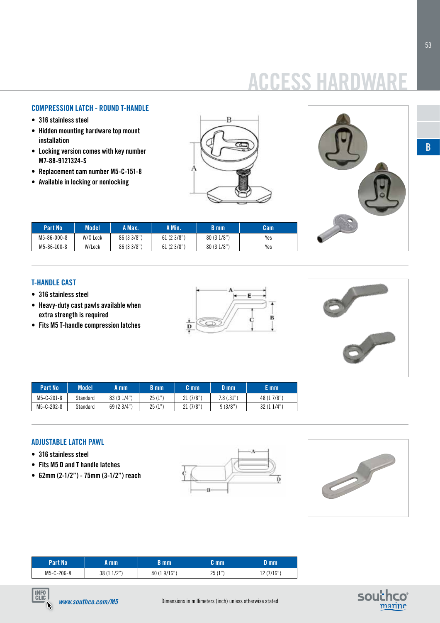# **ACCESS HARD**

# **COMPRESSION LATCH - ROUND T-HANDLE**

- **• 316 stainless steel**
- **• Hidden mounting hardware top mount installation**
- **• Locking version comes with key number M7-88-9121324-S**
- **• Replacement cam number M5-C-151-8**
- **• Available in locking or nonlocking**





| Part No     | Model    | A Max.      | A Min.    | B mm      | Cam |
|-------------|----------|-------------|-----------|-----------|-----|
| M5-86-000-8 | W/O Lock | 86 (3 3/8") | 61(23/8") | 80(31/8") | Yes |
| M5-86-100-8 | W/Lock   | 86 (3 3/8") | 61(23/8") | 80(31/8") | Yes |

### **T-handle cast**

- **• 316 stainless steel**
- **• Heavy-duty cast pawls available when extra strength is required**
- **• Fits M5 T-handle compression latches**





| Part No    | Model    | A mm        | B mm   | C mm     | D mm         | E mm        |
|------------|----------|-------------|--------|----------|--------------|-------------|
| M5-C-201-8 | Standard | 83 (3 1/4") | 25(1") | 21(7/8") | $7.8$ (.31") | 48 (1 7/8") |
| M5-C-202-8 | Standard | 69 (2 3/4") | 25(1") | 21(7/8") | 9(3/8")      | 32 (1 1/4") |

#### **ADJUSTABLE LATCH PAWL**

- **• 316 stainless steel**
- **• Fits M5 D and T handle latches**
- **• 62mm (2-1/2") 75mm (3-1/2") reach**





| <b>Part Nov</b> | mm            | 3 mm         | C mm                    | D mm            |
|-----------------|---------------|--------------|-------------------------|-----------------|
| M5-C-206-8      | 1/2"<br>38 (1 | 40 (1 9/16"' | クに<br>(1"')<br>ے<br>-11 | 12 (7/16")<br>ᅭ |





**B**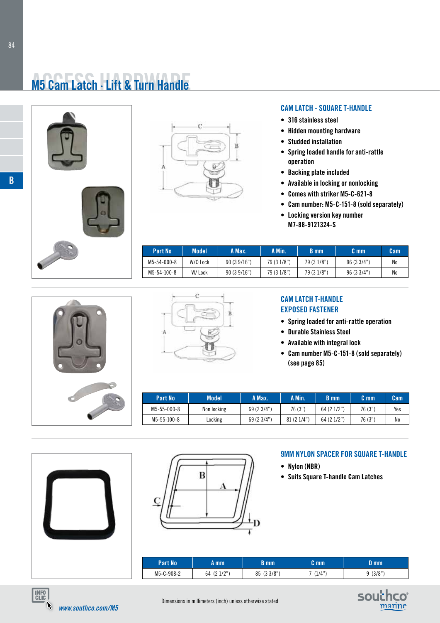# **M5 Cam Latch · Lift & Turn Handle**







### **cam LATCH - SQUARE T-HANDLE**

- **• 316 stainless steel**
- **• Hidden mounting hardware**
- **• Studded installation**
- **• Spring loaded handle for anti-rattle operation**
- **• Backing plate included**
- **• Available in locking or nonlocking**
- **• Comes with striker M5-C-621-8**
- **• Cam number: M5-C-151-8 (sold separately)**
- **• Locking version key number M7-88-9121324-S**

| Part No     | Model    | A Max.     | A Min.      | B mm        | C mm      | Cam            |
|-------------|----------|------------|-------------|-------------|-----------|----------------|
| M5-54-000-8 | W/O Lock | 90(39/16") | 79 (3 1/8") | 79 (3 1/8") | 96(33/4") | N <sub>0</sub> |
| M5-54-100-8 | W/ Lock  | 90(39/16") | 79 (3 1/8") | 79 (3 1/8") | 96(33/4") | N <sub>0</sub> |





# **cam LATCH t-handle EXPOSED FASTENER**

- **• Spring loaded for anti-rattle operation**
- **• Durable Stainless Steel**
- **• Available with integral lock**
- **• Cam number M5-C-151-8 (sold separately) (see page 85)**

| Part No     | Model       | A Max.      | A Min.    | B mm        | C mm    | Cam |
|-------------|-------------|-------------|-----------|-------------|---------|-----|
| M5-55-000-8 | Non locking | 69 (2 3/4") | 76 (3")   | 64 (2 1/2") | 76 (3") | Yes |
| M5-55-100-8 | Locking     | 69 (2 3/4") | 81(21/4") | 64 (2 1/2") | 76 (3") | No  |





### **9MM nylon spacer FOR SQUARE T-HANDLE**

- **• Nylon (NBR)**
- **• Suits Square T-handle Cam Latches**

| Part No'   | A mm.         | B mm         | m <sub>m</sub> | ) mm   |
|------------|---------------|--------------|----------------|--------|
| M5-C-908-2 | (21/2")<br>64 | (33/8"<br>85 | (1/4"          | (3/8") |



**B**